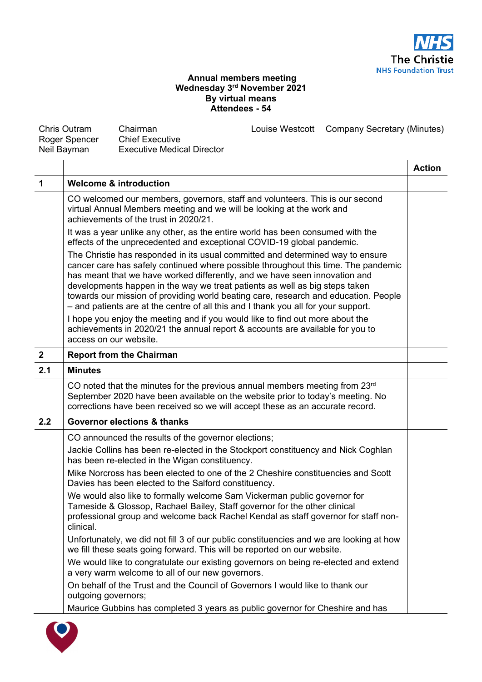

## **Annual members meeting Wednesday 3rd November 2021 By virtual means Attendees - 54**

| <b>Chris Outram</b><br>Roger Spencer |                                                                                                                                                                                                | Chairman<br><b>Chief Executive</b>                                                                                                                                                                                                                                                                                                                                                                                                                                                                             |  | Louise Westcott Company Secretary (Minutes) |               |
|--------------------------------------|------------------------------------------------------------------------------------------------------------------------------------------------------------------------------------------------|----------------------------------------------------------------------------------------------------------------------------------------------------------------------------------------------------------------------------------------------------------------------------------------------------------------------------------------------------------------------------------------------------------------------------------------------------------------------------------------------------------------|--|---------------------------------------------|---------------|
|                                      | Neil Bayman                                                                                                                                                                                    | <b>Executive Medical Director</b>                                                                                                                                                                                                                                                                                                                                                                                                                                                                              |  |                                             |               |
|                                      |                                                                                                                                                                                                |                                                                                                                                                                                                                                                                                                                                                                                                                                                                                                                |  |                                             | <b>Action</b> |
| $\mathbf 1$                          |                                                                                                                                                                                                | <b>Welcome &amp; introduction</b>                                                                                                                                                                                                                                                                                                                                                                                                                                                                              |  |                                             |               |
|                                      | CO welcomed our members, governors, staff and volunteers. This is our second<br>virtual Annual Members meeting and we will be looking at the work and<br>achievements of the trust in 2020/21. |                                                                                                                                                                                                                                                                                                                                                                                                                                                                                                                |  |                                             |               |
|                                      |                                                                                                                                                                                                | It was a year unlike any other, as the entire world has been consumed with the<br>effects of the unprecedented and exceptional COVID-19 global pandemic.                                                                                                                                                                                                                                                                                                                                                       |  |                                             |               |
|                                      |                                                                                                                                                                                                | The Christie has responded in its usual committed and determined way to ensure<br>cancer care has safely continued where possible throughout this time. The pandemic<br>has meant that we have worked differently, and we have seen innovation and<br>developments happen in the way we treat patients as well as big steps taken<br>towards our mission of providing world beating care, research and education. People<br>- and patients are at the centre of all this and I thank you all for your support. |  |                                             |               |
|                                      | access on our website.                                                                                                                                                                         | I hope you enjoy the meeting and if you would like to find out more about the<br>achievements in 2020/21 the annual report & accounts are available for you to                                                                                                                                                                                                                                                                                                                                                 |  |                                             |               |
| $\mathbf{2}$                         |                                                                                                                                                                                                | <b>Report from the Chairman</b>                                                                                                                                                                                                                                                                                                                                                                                                                                                                                |  |                                             |               |
| 2.1                                  | <b>Minutes</b>                                                                                                                                                                                 |                                                                                                                                                                                                                                                                                                                                                                                                                                                                                                                |  |                                             |               |
|                                      |                                                                                                                                                                                                | CO noted that the minutes for the previous annual members meeting from $23rd$<br>September 2020 have been available on the website prior to today's meeting. No<br>corrections have been received so we will accept these as an accurate record.                                                                                                                                                                                                                                                               |  |                                             |               |
| 2.2                                  |                                                                                                                                                                                                | <b>Governor elections &amp; thanks</b>                                                                                                                                                                                                                                                                                                                                                                                                                                                                         |  |                                             |               |
|                                      |                                                                                                                                                                                                | CO announced the results of the governor elections;<br>Jackie Collins has been re-elected in the Stockport constituency and Nick Coghlan<br>has been re-elected in the Wigan constituency.<br>Mike Norcross has been elected to one of the 2 Cheshire constituencies and Scott<br>Davies has been elected to the Salford constituency.                                                                                                                                                                         |  |                                             |               |
|                                      | clinical.                                                                                                                                                                                      | We would also like to formally welcome Sam Vickerman public governor for<br>Tameside & Glossop, Rachael Bailey, Staff governor for the other clinical<br>professional group and welcome back Rachel Kendal as staff governor for staff non-                                                                                                                                                                                                                                                                    |  |                                             |               |
|                                      |                                                                                                                                                                                                | Unfortunately, we did not fill 3 of our public constituencies and we are looking at how<br>we fill these seats going forward. This will be reported on our website.                                                                                                                                                                                                                                                                                                                                            |  |                                             |               |
|                                      |                                                                                                                                                                                                | We would like to congratulate our existing governors on being re-elected and extend<br>a very warm welcome to all of our new governors.                                                                                                                                                                                                                                                                                                                                                                        |  |                                             |               |
|                                      | outgoing governors;                                                                                                                                                                            | On behalf of the Trust and the Council of Governors I would like to thank our                                                                                                                                                                                                                                                                                                                                                                                                                                  |  |                                             |               |
|                                      |                                                                                                                                                                                                | Maurice Gubbins has completed 3 years as public governor for Cheshire and has                                                                                                                                                                                                                                                                                                                                                                                                                                  |  |                                             |               |

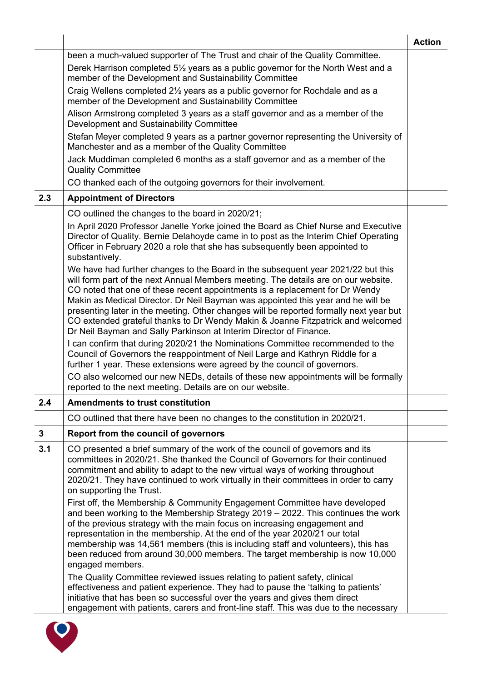|              |                                                                                                                                                                                                                                                                                                                                                                                                                                                                                                                                                                                                                                                                                                                                                                                                                                               | <b>Action</b> |
|--------------|-----------------------------------------------------------------------------------------------------------------------------------------------------------------------------------------------------------------------------------------------------------------------------------------------------------------------------------------------------------------------------------------------------------------------------------------------------------------------------------------------------------------------------------------------------------------------------------------------------------------------------------------------------------------------------------------------------------------------------------------------------------------------------------------------------------------------------------------------|---------------|
|              | been a much-valued supporter of The Trust and chair of the Quality Committee.                                                                                                                                                                                                                                                                                                                                                                                                                                                                                                                                                                                                                                                                                                                                                                 |               |
|              | Derek Harrison completed 51/2 years as a public governor for the North West and a<br>member of the Development and Sustainability Committee                                                                                                                                                                                                                                                                                                                                                                                                                                                                                                                                                                                                                                                                                                   |               |
|              | Craig Wellens completed 2 <sup>1/2</sup> years as a public governor for Rochdale and as a<br>member of the Development and Sustainability Committee                                                                                                                                                                                                                                                                                                                                                                                                                                                                                                                                                                                                                                                                                           |               |
|              | Alison Armstrong completed 3 years as a staff governor and as a member of the<br>Development and Sustainability Committee                                                                                                                                                                                                                                                                                                                                                                                                                                                                                                                                                                                                                                                                                                                     |               |
|              | Stefan Meyer completed 9 years as a partner governor representing the University of<br>Manchester and as a member of the Quality Committee                                                                                                                                                                                                                                                                                                                                                                                                                                                                                                                                                                                                                                                                                                    |               |
|              | Jack Muddiman completed 6 months as a staff governor and as a member of the<br><b>Quality Committee</b>                                                                                                                                                                                                                                                                                                                                                                                                                                                                                                                                                                                                                                                                                                                                       |               |
|              | CO thanked each of the outgoing governors for their involvement.                                                                                                                                                                                                                                                                                                                                                                                                                                                                                                                                                                                                                                                                                                                                                                              |               |
| 2.3          | <b>Appointment of Directors</b>                                                                                                                                                                                                                                                                                                                                                                                                                                                                                                                                                                                                                                                                                                                                                                                                               |               |
|              | CO outlined the changes to the board in 2020/21;                                                                                                                                                                                                                                                                                                                                                                                                                                                                                                                                                                                                                                                                                                                                                                                              |               |
|              | In April 2020 Professor Janelle Yorke joined the Board as Chief Nurse and Executive<br>Director of Quality. Bernie Delahoyde came in to post as the Interim Chief Operating<br>Officer in February 2020 a role that she has subsequently been appointed to<br>substantively.                                                                                                                                                                                                                                                                                                                                                                                                                                                                                                                                                                  |               |
|              | We have had further changes to the Board in the subsequent year 2021/22 but this<br>will form part of the next Annual Members meeting. The details are on our website.<br>CO noted that one of these recent appointments is a replacement for Dr Wendy<br>Makin as Medical Director. Dr Neil Bayman was appointed this year and he will be<br>presenting later in the meeting. Other changes will be reported formally next year but<br>CO extended grateful thanks to Dr Wendy Makin & Joanne Fitzpatrick and welcomed<br>Dr Neil Bayman and Sally Parkinson at Interim Director of Finance.<br>I can confirm that during 2020/21 the Nominations Committee recommended to the<br>Council of Governors the reappointment of Neil Large and Kathryn Riddle for a<br>further 1 year. These extensions were agreed by the council of governors. |               |
|              | CO also welcomed our new NEDs, details of these new appointments will be formally<br>reported to the next meeting. Details are on our website.                                                                                                                                                                                                                                                                                                                                                                                                                                                                                                                                                                                                                                                                                                |               |
| 2.4          | <b>Amendments to trust constitution</b>                                                                                                                                                                                                                                                                                                                                                                                                                                                                                                                                                                                                                                                                                                                                                                                                       |               |
|              | CO outlined that there have been no changes to the constitution in 2020/21.                                                                                                                                                                                                                                                                                                                                                                                                                                                                                                                                                                                                                                                                                                                                                                   |               |
| $\mathbf{3}$ | Report from the council of governors                                                                                                                                                                                                                                                                                                                                                                                                                                                                                                                                                                                                                                                                                                                                                                                                          |               |
| 3.1          | CO presented a brief summary of the work of the council of governors and its<br>committees in 2020/21. She thanked the Council of Governors for their continued<br>commitment and ability to adapt to the new virtual ways of working throughout<br>2020/21. They have continued to work virtually in their committees in order to carry<br>on supporting the Trust.                                                                                                                                                                                                                                                                                                                                                                                                                                                                          |               |
|              | First off, the Membership & Community Engagement Committee have developed<br>and been working to the Membership Strategy 2019 - 2022. This continues the work<br>of the previous strategy with the main focus on increasing engagement and<br>representation in the membership. At the end of the year 2020/21 our total<br>membership was 14,561 members (this is including staff and volunteers), this has<br>been reduced from around 30,000 members. The target membership is now 10,000<br>engaged members.                                                                                                                                                                                                                                                                                                                              |               |
|              | The Quality Committee reviewed issues relating to patient safety, clinical<br>effectiveness and patient experience. They had to pause the 'talking to patients'<br>initiative that has been so successful over the years and gives them direct<br>engagement with patients, carers and front-line staff. This was due to the necessary                                                                                                                                                                                                                                                                                                                                                                                                                                                                                                        |               |

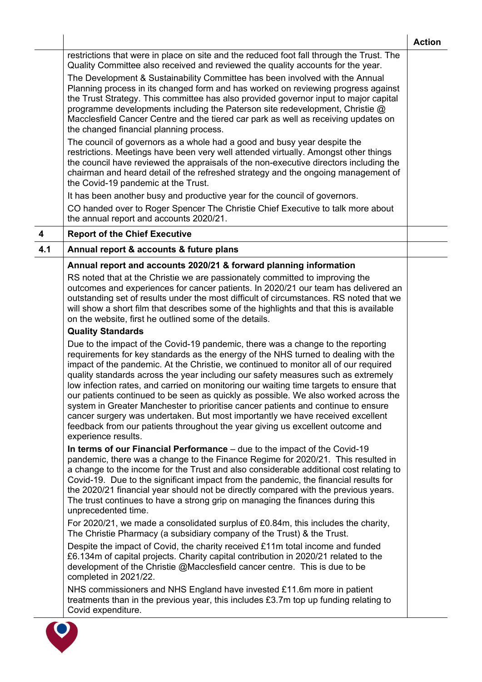|                         |                                                                                                                                                                                                                                                                                                                                                                                                                                                                                                                                                                                                                                                                                                                                                                                                                     | <b>Action</b> |
|-------------------------|---------------------------------------------------------------------------------------------------------------------------------------------------------------------------------------------------------------------------------------------------------------------------------------------------------------------------------------------------------------------------------------------------------------------------------------------------------------------------------------------------------------------------------------------------------------------------------------------------------------------------------------------------------------------------------------------------------------------------------------------------------------------------------------------------------------------|---------------|
|                         | restrictions that were in place on site and the reduced foot fall through the Trust. The<br>Quality Committee also received and reviewed the quality accounts for the year.                                                                                                                                                                                                                                                                                                                                                                                                                                                                                                                                                                                                                                         |               |
|                         | The Development & Sustainability Committee has been involved with the Annual<br>Planning process in its changed form and has worked on reviewing progress against<br>the Trust Strategy. This committee has also provided governor input to major capital<br>programme developments including the Paterson site redevelopment, Christie @<br>Macclesfield Cancer Centre and the tiered car park as well as receiving updates on<br>the changed financial planning process.                                                                                                                                                                                                                                                                                                                                          |               |
|                         | The council of governors as a whole had a good and busy year despite the<br>restrictions. Meetings have been very well attended virtually. Amongst other things<br>the council have reviewed the appraisals of the non-executive directors including the<br>chairman and heard detail of the refreshed strategy and the ongoing management of<br>the Covid-19 pandemic at the Trust.                                                                                                                                                                                                                                                                                                                                                                                                                                |               |
|                         | It has been another busy and productive year for the council of governors.<br>CO handed over to Roger Spencer The Christie Chief Executive to talk more about<br>the annual report and accounts 2020/21.                                                                                                                                                                                                                                                                                                                                                                                                                                                                                                                                                                                                            |               |
| $\overline{\mathbf{4}}$ | <b>Report of the Chief Executive</b>                                                                                                                                                                                                                                                                                                                                                                                                                                                                                                                                                                                                                                                                                                                                                                                |               |
| 4.1                     | Annual report & accounts & future plans                                                                                                                                                                                                                                                                                                                                                                                                                                                                                                                                                                                                                                                                                                                                                                             |               |
|                         | Annual report and accounts 2020/21 & forward planning information<br>RS noted that at the Christie we are passionately committed to improving the<br>outcomes and experiences for cancer patients. In 2020/21 our team has delivered an<br>outstanding set of results under the most difficult of circumstances. RS noted that we<br>will show a short film that describes some of the highlights and that this is available<br>on the website, first he outlined some of the details.                                                                                                                                                                                                                                                                                                                              |               |
|                         | <b>Quality Standards</b>                                                                                                                                                                                                                                                                                                                                                                                                                                                                                                                                                                                                                                                                                                                                                                                            |               |
|                         | Due to the impact of the Covid-19 pandemic, there was a change to the reporting<br>requirements for key standards as the energy of the NHS turned to dealing with the<br>impact of the pandemic. At the Christie, we continued to monitor all of our required<br>quality standards across the year including our safety measures such as extremely<br>low infection rates, and carried on monitoring our waiting time targets to ensure that<br>our patients continued to be seen as quickly as possible. We also worked across the<br>system in Greater Manchester to prioritise cancer patients and continue to ensure<br>cancer surgery was undertaken. But most importantly we have received excellent<br>feedback from our patients throughout the year giving us excellent outcome and<br>experience results. |               |
|                         | In terms of our Financial Performance - due to the impact of the Covid-19<br>pandemic, there was a change to the Finance Regime for 2020/21. This resulted in<br>a change to the income for the Trust and also considerable additional cost relating to<br>Covid-19. Due to the significant impact from the pandemic, the financial results for<br>the 2020/21 financial year should not be directly compared with the previous years.<br>The trust continues to have a strong grip on managing the finances during this<br>unprecedented time.                                                                                                                                                                                                                                                                     |               |
|                         | For 2020/21, we made a consolidated surplus of £0.84m, this includes the charity,<br>The Christie Pharmacy (a subsidiary company of the Trust) & the Trust.                                                                                                                                                                                                                                                                                                                                                                                                                                                                                                                                                                                                                                                         |               |
|                         | Despite the impact of Covid, the charity received £11m total income and funded<br>£6.134m of capital projects. Charity capital contribution in 2020/21 related to the<br>development of the Christie @Macclesfield cancer centre. This is due to be<br>completed in 2021/22.                                                                                                                                                                                                                                                                                                                                                                                                                                                                                                                                        |               |
|                         | NHS commissioners and NHS England have invested £11.6m more in patient<br>treatments than in the previous year, this includes £3.7m top up funding relating to<br>Covid expenditure.                                                                                                                                                                                                                                                                                                                                                                                                                                                                                                                                                                                                                                |               |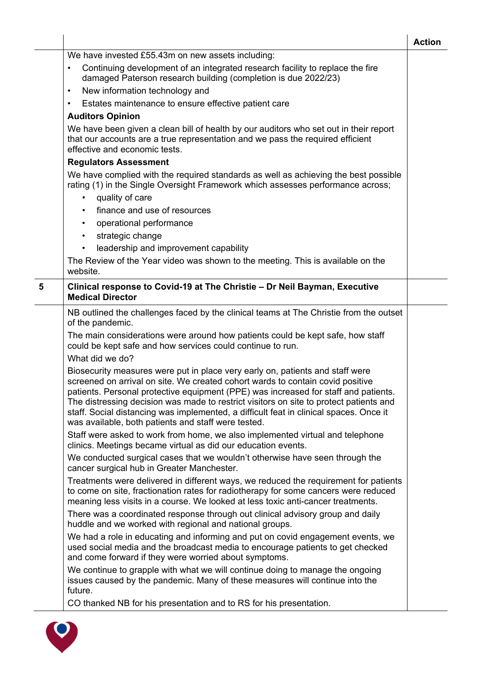| We have invested £55.43m on new assets including:<br>Continuing development of an integrated research facility to replace the fire<br>$\bullet$<br>damaged Paterson research building (completion is due 2022/23)<br>New information technology and<br>$\bullet$<br>Estates maintenance to ensure effective patient care<br>$\bullet$<br><b>Auditors Opinion</b><br>We have been given a clean bill of health by our auditors who set out in their report<br>that our accounts are a true representation and we pass the required efficient<br>effective and economic tests.<br><b>Regulators Assessment</b><br>We have complied with the required standards as well as achieving the best possible<br>rating (1) in the Single Oversight Framework which assesses performance across;<br>quality of care<br>٠<br>finance and use of resources<br>operational performance<br>strategic change<br>$\bullet$<br>leadership and improvement capability<br>$\bullet$<br>The Review of the Year video was shown to the meeting. This is available on the<br>website.<br>5<br>Clinical response to Covid-19 at The Christie - Dr Neil Bayman, Executive<br><b>Medical Director</b><br>NB outlined the challenges faced by the clinical teams at The Christie from the outset<br>of the pandemic.<br>The main considerations were around how patients could be kept safe, how staff<br>could be kept safe and how services could continue to run.<br>What did we do?<br>Biosecurity measures were put in place very early on, patients and staff were<br>screened on arrival on site. We created cohort wards to contain covid positive<br>patients. Personal protective equipment (PPE) was increased for staff and patients.<br>The distressing decision was made to restrict visitors on site to protect patients and<br>staff. Social distancing was implemented, a difficult feat in clinical spaces. Once it<br>was available, both patients and staff were tested.<br>Staff were asked to work from home, we also implemented virtual and telephone<br>clinics. Meetings became virtual as did our education events.<br>We conducted surgical cases that we wouldn't otherwise have seen through the<br>cancer surgical hub in Greater Manchester.<br>Treatments were delivered in different ways, we reduced the requirement for patients<br>to come on site, fractionation rates for radiotherapy for some cancers were reduced<br>meaning less visits in a course. We looked at less toxic anti-cancer treatments.<br>There was a coordinated response through out clinical advisory group and daily<br>huddle and we worked with regional and national groups.<br>We had a role in educating and informing and put on covid engagement events, we<br>used social media and the broadcast media to encourage patients to get checked<br>and come forward if they were worried about symptoms.<br>We continue to grapple with what we will continue doing to manage the ongoing<br>issues caused by the pandemic. Many of these measures will continue into the<br>future.<br>CO thanked NB for his presentation and to RS for his presentation. |  | <b>Action</b> |
|----------------------------------------------------------------------------------------------------------------------------------------------------------------------------------------------------------------------------------------------------------------------------------------------------------------------------------------------------------------------------------------------------------------------------------------------------------------------------------------------------------------------------------------------------------------------------------------------------------------------------------------------------------------------------------------------------------------------------------------------------------------------------------------------------------------------------------------------------------------------------------------------------------------------------------------------------------------------------------------------------------------------------------------------------------------------------------------------------------------------------------------------------------------------------------------------------------------------------------------------------------------------------------------------------------------------------------------------------------------------------------------------------------------------------------------------------------------------------------------------------------------------------------------------------------------------------------------------------------------------------------------------------------------------------------------------------------------------------------------------------------------------------------------------------------------------------------------------------------------------------------------------------------------------------------------------------------------------------------------------------------------------------------------------------------------------------------------------------------------------------------------------------------------------------------------------------------------------------------------------------------------------------------------------------------------------------------------------------------------------------------------------------------------------------------------------------------------------------------------------------------------------------------------------------------------------------------------------------------------------------------------------------------------------------------------------------------------------------------------------------------------------------------------------------------------------------------------------------------------------------------------------------------------------------------------------------------------------------------------------------------------------------------------------------------------------------------------------------------------------------------------------------|--|---------------|
|                                                                                                                                                                                                                                                                                                                                                                                                                                                                                                                                                                                                                                                                                                                                                                                                                                                                                                                                                                                                                                                                                                                                                                                                                                                                                                                                                                                                                                                                                                                                                                                                                                                                                                                                                                                                                                                                                                                                                                                                                                                                                                                                                                                                                                                                                                                                                                                                                                                                                                                                                                                                                                                                                                                                                                                                                                                                                                                                                                                                                                                                                                                                                    |  |               |
|                                                                                                                                                                                                                                                                                                                                                                                                                                                                                                                                                                                                                                                                                                                                                                                                                                                                                                                                                                                                                                                                                                                                                                                                                                                                                                                                                                                                                                                                                                                                                                                                                                                                                                                                                                                                                                                                                                                                                                                                                                                                                                                                                                                                                                                                                                                                                                                                                                                                                                                                                                                                                                                                                                                                                                                                                                                                                                                                                                                                                                                                                                                                                    |  |               |
|                                                                                                                                                                                                                                                                                                                                                                                                                                                                                                                                                                                                                                                                                                                                                                                                                                                                                                                                                                                                                                                                                                                                                                                                                                                                                                                                                                                                                                                                                                                                                                                                                                                                                                                                                                                                                                                                                                                                                                                                                                                                                                                                                                                                                                                                                                                                                                                                                                                                                                                                                                                                                                                                                                                                                                                                                                                                                                                                                                                                                                                                                                                                                    |  |               |
|                                                                                                                                                                                                                                                                                                                                                                                                                                                                                                                                                                                                                                                                                                                                                                                                                                                                                                                                                                                                                                                                                                                                                                                                                                                                                                                                                                                                                                                                                                                                                                                                                                                                                                                                                                                                                                                                                                                                                                                                                                                                                                                                                                                                                                                                                                                                                                                                                                                                                                                                                                                                                                                                                                                                                                                                                                                                                                                                                                                                                                                                                                                                                    |  |               |
|                                                                                                                                                                                                                                                                                                                                                                                                                                                                                                                                                                                                                                                                                                                                                                                                                                                                                                                                                                                                                                                                                                                                                                                                                                                                                                                                                                                                                                                                                                                                                                                                                                                                                                                                                                                                                                                                                                                                                                                                                                                                                                                                                                                                                                                                                                                                                                                                                                                                                                                                                                                                                                                                                                                                                                                                                                                                                                                                                                                                                                                                                                                                                    |  |               |
|                                                                                                                                                                                                                                                                                                                                                                                                                                                                                                                                                                                                                                                                                                                                                                                                                                                                                                                                                                                                                                                                                                                                                                                                                                                                                                                                                                                                                                                                                                                                                                                                                                                                                                                                                                                                                                                                                                                                                                                                                                                                                                                                                                                                                                                                                                                                                                                                                                                                                                                                                                                                                                                                                                                                                                                                                                                                                                                                                                                                                                                                                                                                                    |  |               |
|                                                                                                                                                                                                                                                                                                                                                                                                                                                                                                                                                                                                                                                                                                                                                                                                                                                                                                                                                                                                                                                                                                                                                                                                                                                                                                                                                                                                                                                                                                                                                                                                                                                                                                                                                                                                                                                                                                                                                                                                                                                                                                                                                                                                                                                                                                                                                                                                                                                                                                                                                                                                                                                                                                                                                                                                                                                                                                                                                                                                                                                                                                                                                    |  |               |
|                                                                                                                                                                                                                                                                                                                                                                                                                                                                                                                                                                                                                                                                                                                                                                                                                                                                                                                                                                                                                                                                                                                                                                                                                                                                                                                                                                                                                                                                                                                                                                                                                                                                                                                                                                                                                                                                                                                                                                                                                                                                                                                                                                                                                                                                                                                                                                                                                                                                                                                                                                                                                                                                                                                                                                                                                                                                                                                                                                                                                                                                                                                                                    |  |               |
|                                                                                                                                                                                                                                                                                                                                                                                                                                                                                                                                                                                                                                                                                                                                                                                                                                                                                                                                                                                                                                                                                                                                                                                                                                                                                                                                                                                                                                                                                                                                                                                                                                                                                                                                                                                                                                                                                                                                                                                                                                                                                                                                                                                                                                                                                                                                                                                                                                                                                                                                                                                                                                                                                                                                                                                                                                                                                                                                                                                                                                                                                                                                                    |  |               |
|                                                                                                                                                                                                                                                                                                                                                                                                                                                                                                                                                                                                                                                                                                                                                                                                                                                                                                                                                                                                                                                                                                                                                                                                                                                                                                                                                                                                                                                                                                                                                                                                                                                                                                                                                                                                                                                                                                                                                                                                                                                                                                                                                                                                                                                                                                                                                                                                                                                                                                                                                                                                                                                                                                                                                                                                                                                                                                                                                                                                                                                                                                                                                    |  |               |
|                                                                                                                                                                                                                                                                                                                                                                                                                                                                                                                                                                                                                                                                                                                                                                                                                                                                                                                                                                                                                                                                                                                                                                                                                                                                                                                                                                                                                                                                                                                                                                                                                                                                                                                                                                                                                                                                                                                                                                                                                                                                                                                                                                                                                                                                                                                                                                                                                                                                                                                                                                                                                                                                                                                                                                                                                                                                                                                                                                                                                                                                                                                                                    |  |               |
|                                                                                                                                                                                                                                                                                                                                                                                                                                                                                                                                                                                                                                                                                                                                                                                                                                                                                                                                                                                                                                                                                                                                                                                                                                                                                                                                                                                                                                                                                                                                                                                                                                                                                                                                                                                                                                                                                                                                                                                                                                                                                                                                                                                                                                                                                                                                                                                                                                                                                                                                                                                                                                                                                                                                                                                                                                                                                                                                                                                                                                                                                                                                                    |  |               |
|                                                                                                                                                                                                                                                                                                                                                                                                                                                                                                                                                                                                                                                                                                                                                                                                                                                                                                                                                                                                                                                                                                                                                                                                                                                                                                                                                                                                                                                                                                                                                                                                                                                                                                                                                                                                                                                                                                                                                                                                                                                                                                                                                                                                                                                                                                                                                                                                                                                                                                                                                                                                                                                                                                                                                                                                                                                                                                                                                                                                                                                                                                                                                    |  |               |
|                                                                                                                                                                                                                                                                                                                                                                                                                                                                                                                                                                                                                                                                                                                                                                                                                                                                                                                                                                                                                                                                                                                                                                                                                                                                                                                                                                                                                                                                                                                                                                                                                                                                                                                                                                                                                                                                                                                                                                                                                                                                                                                                                                                                                                                                                                                                                                                                                                                                                                                                                                                                                                                                                                                                                                                                                                                                                                                                                                                                                                                                                                                                                    |  |               |
|                                                                                                                                                                                                                                                                                                                                                                                                                                                                                                                                                                                                                                                                                                                                                                                                                                                                                                                                                                                                                                                                                                                                                                                                                                                                                                                                                                                                                                                                                                                                                                                                                                                                                                                                                                                                                                                                                                                                                                                                                                                                                                                                                                                                                                                                                                                                                                                                                                                                                                                                                                                                                                                                                                                                                                                                                                                                                                                                                                                                                                                                                                                                                    |  |               |
|                                                                                                                                                                                                                                                                                                                                                                                                                                                                                                                                                                                                                                                                                                                                                                                                                                                                                                                                                                                                                                                                                                                                                                                                                                                                                                                                                                                                                                                                                                                                                                                                                                                                                                                                                                                                                                                                                                                                                                                                                                                                                                                                                                                                                                                                                                                                                                                                                                                                                                                                                                                                                                                                                                                                                                                                                                                                                                                                                                                                                                                                                                                                                    |  |               |
|                                                                                                                                                                                                                                                                                                                                                                                                                                                                                                                                                                                                                                                                                                                                                                                                                                                                                                                                                                                                                                                                                                                                                                                                                                                                                                                                                                                                                                                                                                                                                                                                                                                                                                                                                                                                                                                                                                                                                                                                                                                                                                                                                                                                                                                                                                                                                                                                                                                                                                                                                                                                                                                                                                                                                                                                                                                                                                                                                                                                                                                                                                                                                    |  |               |
|                                                                                                                                                                                                                                                                                                                                                                                                                                                                                                                                                                                                                                                                                                                                                                                                                                                                                                                                                                                                                                                                                                                                                                                                                                                                                                                                                                                                                                                                                                                                                                                                                                                                                                                                                                                                                                                                                                                                                                                                                                                                                                                                                                                                                                                                                                                                                                                                                                                                                                                                                                                                                                                                                                                                                                                                                                                                                                                                                                                                                                                                                                                                                    |  |               |
|                                                                                                                                                                                                                                                                                                                                                                                                                                                                                                                                                                                                                                                                                                                                                                                                                                                                                                                                                                                                                                                                                                                                                                                                                                                                                                                                                                                                                                                                                                                                                                                                                                                                                                                                                                                                                                                                                                                                                                                                                                                                                                                                                                                                                                                                                                                                                                                                                                                                                                                                                                                                                                                                                                                                                                                                                                                                                                                                                                                                                                                                                                                                                    |  |               |
|                                                                                                                                                                                                                                                                                                                                                                                                                                                                                                                                                                                                                                                                                                                                                                                                                                                                                                                                                                                                                                                                                                                                                                                                                                                                                                                                                                                                                                                                                                                                                                                                                                                                                                                                                                                                                                                                                                                                                                                                                                                                                                                                                                                                                                                                                                                                                                                                                                                                                                                                                                                                                                                                                                                                                                                                                                                                                                                                                                                                                                                                                                                                                    |  |               |
|                                                                                                                                                                                                                                                                                                                                                                                                                                                                                                                                                                                                                                                                                                                                                                                                                                                                                                                                                                                                                                                                                                                                                                                                                                                                                                                                                                                                                                                                                                                                                                                                                                                                                                                                                                                                                                                                                                                                                                                                                                                                                                                                                                                                                                                                                                                                                                                                                                                                                                                                                                                                                                                                                                                                                                                                                                                                                                                                                                                                                                                                                                                                                    |  |               |
|                                                                                                                                                                                                                                                                                                                                                                                                                                                                                                                                                                                                                                                                                                                                                                                                                                                                                                                                                                                                                                                                                                                                                                                                                                                                                                                                                                                                                                                                                                                                                                                                                                                                                                                                                                                                                                                                                                                                                                                                                                                                                                                                                                                                                                                                                                                                                                                                                                                                                                                                                                                                                                                                                                                                                                                                                                                                                                                                                                                                                                                                                                                                                    |  |               |
|                                                                                                                                                                                                                                                                                                                                                                                                                                                                                                                                                                                                                                                                                                                                                                                                                                                                                                                                                                                                                                                                                                                                                                                                                                                                                                                                                                                                                                                                                                                                                                                                                                                                                                                                                                                                                                                                                                                                                                                                                                                                                                                                                                                                                                                                                                                                                                                                                                                                                                                                                                                                                                                                                                                                                                                                                                                                                                                                                                                                                                                                                                                                                    |  |               |
|                                                                                                                                                                                                                                                                                                                                                                                                                                                                                                                                                                                                                                                                                                                                                                                                                                                                                                                                                                                                                                                                                                                                                                                                                                                                                                                                                                                                                                                                                                                                                                                                                                                                                                                                                                                                                                                                                                                                                                                                                                                                                                                                                                                                                                                                                                                                                                                                                                                                                                                                                                                                                                                                                                                                                                                                                                                                                                                                                                                                                                                                                                                                                    |  |               |
|                                                                                                                                                                                                                                                                                                                                                                                                                                                                                                                                                                                                                                                                                                                                                                                                                                                                                                                                                                                                                                                                                                                                                                                                                                                                                                                                                                                                                                                                                                                                                                                                                                                                                                                                                                                                                                                                                                                                                                                                                                                                                                                                                                                                                                                                                                                                                                                                                                                                                                                                                                                                                                                                                                                                                                                                                                                                                                                                                                                                                                                                                                                                                    |  |               |
|                                                                                                                                                                                                                                                                                                                                                                                                                                                                                                                                                                                                                                                                                                                                                                                                                                                                                                                                                                                                                                                                                                                                                                                                                                                                                                                                                                                                                                                                                                                                                                                                                                                                                                                                                                                                                                                                                                                                                                                                                                                                                                                                                                                                                                                                                                                                                                                                                                                                                                                                                                                                                                                                                                                                                                                                                                                                                                                                                                                                                                                                                                                                                    |  |               |